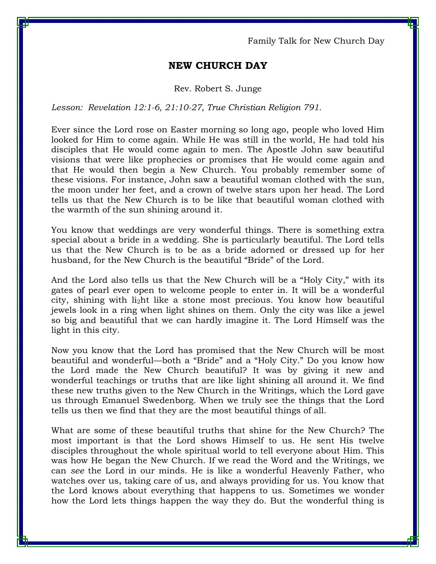Family Talk for New Church Day

## **NEW CHURCH DAY**

## Rev. Robert S. Junge

Lesson: Revelation 12:1-6, 21:10-27, True Christian Religion 791.

Ever since the Lord rose on Easter morning so long ago, people who loved Him looked for Him to come again. While He was still in the world, He had told his disciples that He would come again to men. The Apostle John saw beautiful visions that were like prophecies or promises that He would come again and that He would then begin a New Church. You probably remember some of these visions. For instance, John saw a beautiful woman clothed with the sun, the moon under her feet, and a crown of twelve stars upon her head. The Lord tells us that the New Church is to be like that beautiful woman clothed with the warmth of the sun shining around it.

You know that weddings are very wonderful things. There is something extra special about a bride in a wedding. She is particularly beautiful. The Lord tells us that the New Church is to be as a bride adorned or dressed up for her husband, for the New Church is the beautiful "Bride" of the Lord.

And the Lord also tells us that the New Church will be a "Holy City," with its gates of pearl ever open to welcome people to enter in. It will be a wonderful city, shining with li2ht like a stone most precious. You know how beautiful jewels look in a ring when light shines on them. Only the city was like a jewel so big and beautiful that we can hardly imagine it. The Lord Himself was the light in this city.

Now you know that the Lord has promised that the New Church will be most beautiful and wonderful—both a "Bride" and a "Holy City." Do you know how the Lord made the New Church beautiful? It was by giving it new and wonderful teachings or truths that are like light shining all around it. We find these new truths given to the New Church in the Writings, which the Lord gave us through Emanuel Swedenborg. When we truly see the things that the Lord tells us then we find that they are the most beautiful things of all.

What are some of these beautiful truths that shine for the New Church? The most important is that the Lord shows Himself to us. He sent His twelve disciples throughout the whole spiritual world to tell everyone about Him. This was how He began the New Church. If we read the Word and the Writings, we can *see* the Lord in our minds. He is like a wonderful Heavenly Father, who watches over us, taking care of us, and always providing for us. You know that the Lord knows about everything that happens to us. Sometimes we wonder how the Lord lets things happen the way they do. But the wonderful thing is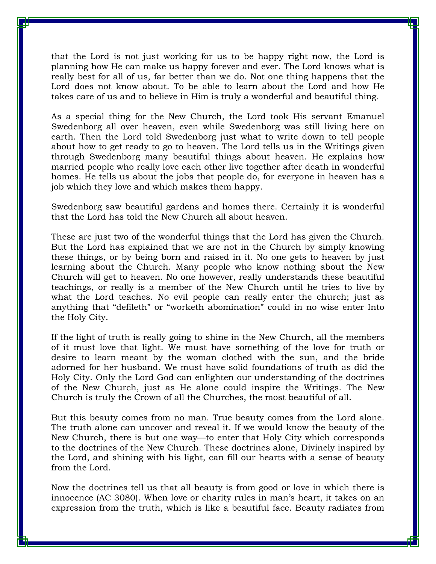that the Lord is not just working for us to be happy right now, the Lord is planning how He can make us happy forever and ever. The Lord knows what is really best for all of us, far better than we do. Not one thing happens that the Lord does not know about. To be able to learn about the Lord and how He takes care of us and to believe in Him is truly a wonderful and beautiful thing.

As a special thing for the New Church, the Lord took His servant Emanuel Swedenborg all over heaven, even while Swedenborg was still living here on earth. Then the Lord told Swedenborg just what to write down to tell people about how to get ready to go to heaven. The Lord tells us in the Writings given through Swedenborg many beautiful things about heaven. He explains how married people who really love each other live together after death in wonderful homes. He tells us about the jobs that people do, for everyone in heaven has a job which they love and which makes them happy.

Swedenborg saw beautiful gardens and homes there. Certainly it is wonderful that the Lord has told the New Church all about heaven.

These are just two of the wonderful things that the Lord has given the Church. But the Lord has explained that we are not in the Church by simply knowing these things, or by being born and raised in it. No one gets to heaven by just learning about the Church. Many people who know nothing about the New Church will get to heaven. No one however, really understands these beautiful teachings, or really is a member of the New Church until he tries to live by what the Lord teaches. No evil people can really enter the church; just as anything that "defileth" or "worketh abomination" could in no wise enter Into the Holy City.

If the light of truth is really going to shine in the New Church, all the members of it must love that light. We must have something of the love for truth or desire to learn meant by the woman clothed with the sun, and the bride adorned for her husband. We must have solid foundations of truth as did the Holy City. Only the Lord God can enlighten our understanding of the doctrines of the New Church, just as He alone could inspire the Writings. The New Church is truly the Crown of all the Churches, the most beautiful of all.

But this beauty comes from no man. True beauty comes from the Lord alone. The truth alone can uncover and reveal it. If we would know the beauty of the New Church, there is but one way—to enter that Holy City which corresponds to the doctrines of the New Church. These doctrines alone, Divinely inspired by the Lord, and shining with his light, can fill our hearts with a sense of beauty from the Lord.

Now the doctrines tell us that all beauty is from good or love in which there is innocence (AC 3080). When love or charity rules in man's heart, it takes on an expression from the truth, which is like a beautiful face. Beauty radiates from